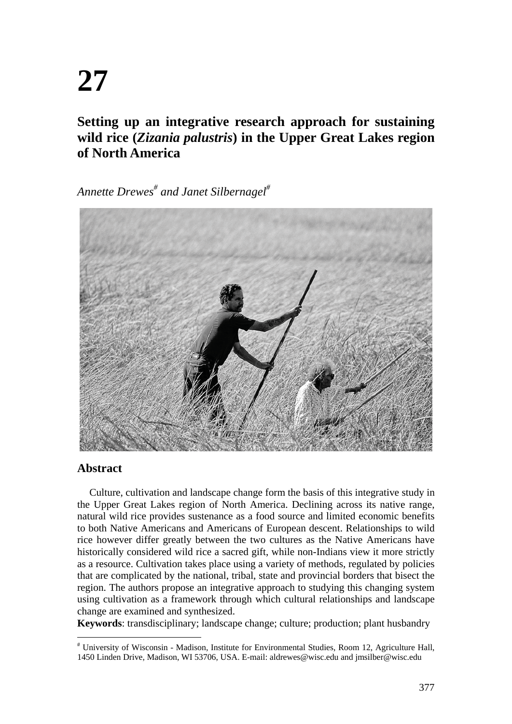# **27**

## **Setting up an integrative research approach for sustaining wild rice (***Zizania palustris***) in the Upper Great Lakes region of North America**

*Annette Drewes# and Janet Silbernagel#*



## **Abstract**

Culture, cultivation and landscape change form the basis of this integrative study in the Upper Great Lakes region of North America. Declining across its native range, natural wild rice provides sustenance as a food source and limited economic benefits to both Native Americans and Americans of European descent. Relationships to wild rice however differ greatly between the two cultures as the Native Americans have historically considered wild rice a sacred gift, while non-Indians view it more strictly as a resource. Cultivation takes place using a variety of methods, regulated by policies that are complicated by the national, tribal, state and provincial borders that bisect the region. The authors propose an integrative approach to studying this changing system using cultivation as a framework through which cultural relationships and landscape change are examined and synthesized.

**Keywords**: transdisciplinary; landscape change; culture; production; plant husbandry

<sup>#</sup> University of Wisconsin - Madison, Institute for Environmental Studies, Room 12, Agriculture Hall, 1450 Linden Drive, Madison, WI 53706, USA. E-mail: aldrewes@wisc.edu and jmsilber@wisc.edu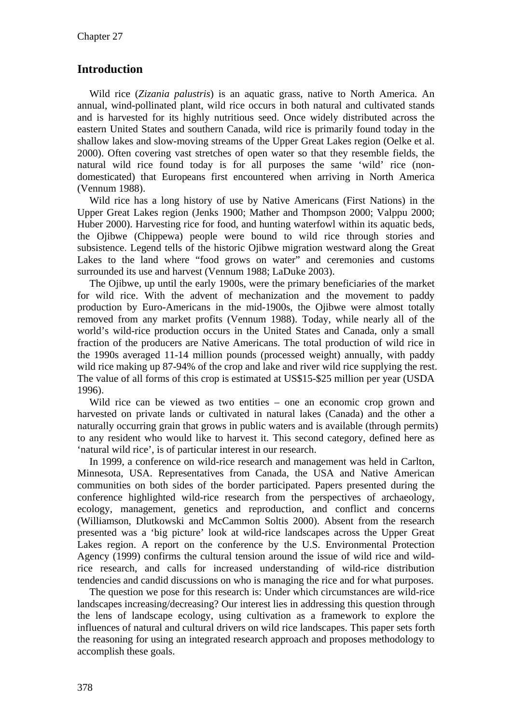## **Introduction**

Wild rice (*Zizania palustris*) is an aquatic grass, native to North America. An annual, wind-pollinated plant, wild rice occurs in both natural and cultivated stands and is harvested for its highly nutritious seed. Once widely distributed across the eastern United States and southern Canada, wild rice is primarily found today in the shallow lakes and slow-moving streams of the Upper Great Lakes region (Oelke et al. 2000). Often covering vast stretches of open water so that they resemble fields, the natural wild rice found today is for all purposes the same 'wild' rice (nondomesticated) that Europeans first encountered when arriving in North America (Vennum 1988).

Wild rice has a long history of use by Native Americans (First Nations) in the Upper Great Lakes region (Jenks 1900; Mather and Thompson 2000; Valppu 2000; Huber 2000). Harvesting rice for food, and hunting waterfowl within its aquatic beds, the Ojibwe (Chippewa) people were bound to wild rice through stories and subsistence. Legend tells of the historic Ojibwe migration westward along the Great Lakes to the land where "food grows on water" and ceremonies and customs surrounded its use and harvest (Vennum 1988; LaDuke 2003).

The Ojibwe, up until the early 1900s, were the primary beneficiaries of the market for wild rice. With the advent of mechanization and the movement to paddy production by Euro-Americans in the mid-1900s, the Ojibwe were almost totally removed from any market profits (Vennum 1988). Today, while nearly all of the world's wild-rice production occurs in the United States and Canada, only a small fraction of the producers are Native Americans. The total production of wild rice in the 1990s averaged 11-14 million pounds (processed weight) annually, with paddy wild rice making up 87-94% of the crop and lake and river wild rice supplying the rest. The value of all forms of this crop is estimated at US\$15-\$25 million per year (USDA 1996).

Wild rice can be viewed as two entities – one an economic crop grown and harvested on private lands or cultivated in natural lakes (Canada) and the other a naturally occurring grain that grows in public waters and is available (through permits) to any resident who would like to harvest it. This second category, defined here as 'natural wild rice', is of particular interest in our research.

In 1999, a conference on wild-rice research and management was held in Carlton, Minnesota, USA. Representatives from Canada, the USA and Native American communities on both sides of the border participated. Papers presented during the conference highlighted wild-rice research from the perspectives of archaeology, ecology, management, genetics and reproduction, and conflict and concerns (Williamson, Dlutkowski and McCammon Soltis 2000). Absent from the research presented was a 'big picture' look at wild-rice landscapes across the Upper Great Lakes region. A report on the conference by the U.S. Environmental Protection Agency (1999) confirms the cultural tension around the issue of wild rice and wildrice research, and calls for increased understanding of wild-rice distribution tendencies and candid discussions on who is managing the rice and for what purposes.

The question we pose for this research is: Under which circumstances are wild-rice landscapes increasing/decreasing? Our interest lies in addressing this question through the lens of landscape ecology, using cultivation as a framework to explore the influences of natural and cultural drivers on wild rice landscapes. This paper sets forth the reasoning for using an integrated research approach and proposes methodology to accomplish these goals.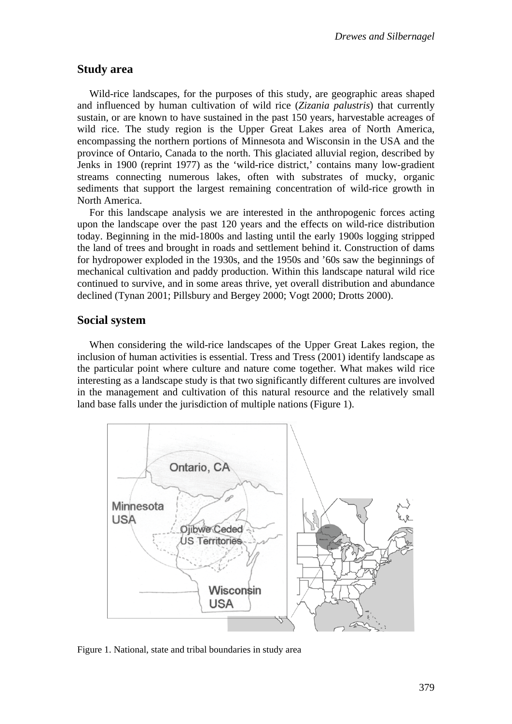#### **Study area**

Wild-rice landscapes, for the purposes of this study, are geographic areas shaped and influenced by human cultivation of wild rice (*Zizania palustris*) that currently sustain, or are known to have sustained in the past 150 years, harvestable acreages of wild rice. The study region is the Upper Great Lakes area of North America, encompassing the northern portions of Minnesota and Wisconsin in the USA and the province of Ontario, Canada to the north. This glaciated alluvial region, described by Jenks in 1900 (reprint 1977) as the 'wild-rice district,' contains many low-gradient streams connecting numerous lakes, often with substrates of mucky, organic sediments that support the largest remaining concentration of wild-rice growth in North America.

For this landscape analysis we are interested in the anthropogenic forces acting upon the landscape over the past 120 years and the effects on wild-rice distribution today. Beginning in the mid-1800s and lasting until the early 1900s logging stripped the land of trees and brought in roads and settlement behind it. Construction of dams for hydropower exploded in the 1930s, and the 1950s and '60s saw the beginnings of mechanical cultivation and paddy production. Within this landscape natural wild rice continued to survive, and in some areas thrive, yet overall distribution and abundance declined (Tynan 2001; Pillsbury and Bergey 2000; Vogt 2000; Drotts 2000).

#### **Social system**

When considering the wild-rice landscapes of the Upper Great Lakes region, the inclusion of human activities is essential. Tress and Tress (2001) identify landscape as the particular point where culture and nature come together. What makes wild rice interesting as a landscape study is that two significantly different cultures are involved in the management and cultivation of this natural resource and the relatively small land base falls under the jurisdiction of multiple nations (Figure 1).



Figure 1. National, state and tribal boundaries in study area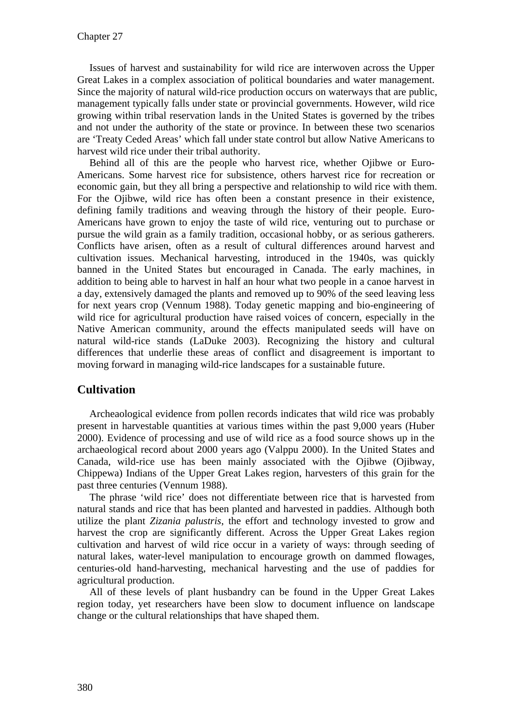Issues of harvest and sustainability for wild rice are interwoven across the Upper Great Lakes in a complex association of political boundaries and water management. Since the majority of natural wild-rice production occurs on waterways that are public, management typically falls under state or provincial governments. However, wild rice growing within tribal reservation lands in the United States is governed by the tribes and not under the authority of the state or province. In between these two scenarios are 'Treaty Ceded Areas' which fall under state control but allow Native Americans to harvest wild rice under their tribal authority.

Behind all of this are the people who harvest rice, whether Ojibwe or Euro-Americans. Some harvest rice for subsistence, others harvest rice for recreation or economic gain, but they all bring a perspective and relationship to wild rice with them. For the Ojibwe, wild rice has often been a constant presence in their existence, defining family traditions and weaving through the history of their people. Euro-Americans have grown to enjoy the taste of wild rice, venturing out to purchase or pursue the wild grain as a family tradition, occasional hobby, or as serious gatherers. Conflicts have arisen, often as a result of cultural differences around harvest and cultivation issues. Mechanical harvesting, introduced in the 1940s, was quickly banned in the United States but encouraged in Canada. The early machines, in addition to being able to harvest in half an hour what two people in a canoe harvest in a day, extensively damaged the plants and removed up to 90% of the seed leaving less for next years crop (Vennum 1988). Today genetic mapping and bio-engineering of wild rice for agricultural production have raised voices of concern, especially in the Native American community, around the effects manipulated seeds will have on natural wild-rice stands (LaDuke 2003). Recognizing the history and cultural differences that underlie these areas of conflict and disagreement is important to moving forward in managing wild-rice landscapes for a sustainable future.

## **Cultivation**

Archeaological evidence from pollen records indicates that wild rice was probably present in harvestable quantities at various times within the past 9,000 years (Huber 2000). Evidence of processing and use of wild rice as a food source shows up in the archaeological record about 2000 years ago (Valppu 2000). In the United States and Canada, wild-rice use has been mainly associated with the Ojibwe (Ojibway, Chippewa) Indians of the Upper Great Lakes region, harvesters of this grain for the past three centuries (Vennum 1988).

The phrase 'wild rice' does not differentiate between rice that is harvested from natural stands and rice that has been planted and harvested in paddies. Although both utilize the plant *Zizania palustris*, the effort and technology invested to grow and harvest the crop are significantly different. Across the Upper Great Lakes region cultivation and harvest of wild rice occur in a variety of ways: through seeding of natural lakes, water-level manipulation to encourage growth on dammed flowages, centuries-old hand-harvesting, mechanical harvesting and the use of paddies for agricultural production.

All of these levels of plant husbandry can be found in the Upper Great Lakes region today, yet researchers have been slow to document influence on landscape change or the cultural relationships that have shaped them.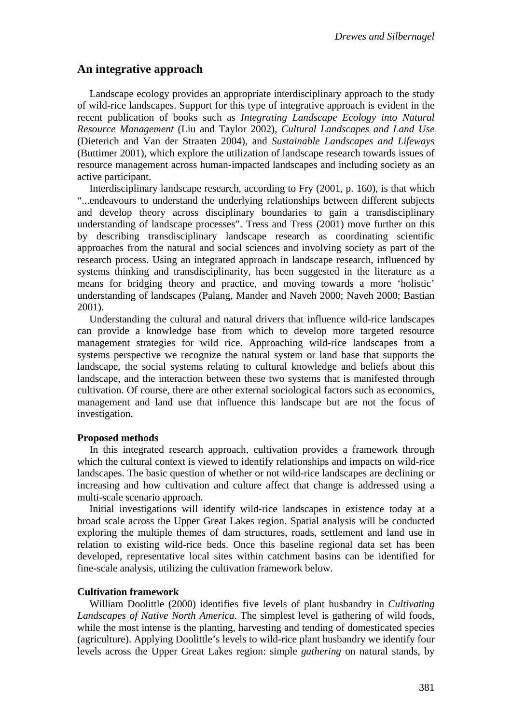## **An integrative approach**

Landscape ecology provides an appropriate interdisciplinary approach to the study of wild-rice landscapes. Support for this type of integrative approach is evident in the recent publication of books such as *Integrating Landscape Ecology into Natural Resource Management* (Liu and Taylor 2002), *Cultural Landscapes and Land Use* (Dieterich and Van der Straaten 2004), and *Sustainable Landscapes and Lifeways* (Buttimer 2001), which explore the utilization of landscape research towards issues of resource management across human-impacted landscapes and including society as an active participant.

Interdisciplinary landscape research, according to Fry (2001, p. 160), is that which "...endeavours to understand the underlying relationships between different subjects and develop theory across disciplinary boundaries to gain a transdisciplinary understanding of landscape processes". Tress and Tress (2001) move further on this by describing transdisciplinary landscape research as coordinating scientific approaches from the natural and social sciences and involving society as part of the research process. Using an integrated approach in landscape research, influenced by systems thinking and transdisciplinarity, has been suggested in the literature as a means for bridging theory and practice, and moving towards a more 'holistic' understanding of landscapes (Palang, Mander and Naveh 2000; Naveh 2000; Bastian 2001).

Understanding the cultural and natural drivers that influence wild-rice landscapes can provide a knowledge base from which to develop more targeted resource management strategies for wild rice. Approaching wild-rice landscapes from a systems perspective we recognize the natural system or land base that supports the landscape, the social systems relating to cultural knowledge and beliefs about this landscape, and the interaction between these two systems that is manifested through cultivation. Of course, there are other external sociological factors such as economics, management and land use that influence this landscape but are not the focus of investigation.

#### **Proposed methods**

In this integrated research approach, cultivation provides a framework through which the cultural context is viewed to identify relationships and impacts on wild-rice landscapes. The basic question of whether or not wild-rice landscapes are declining or increasing and how cultivation and culture affect that change is addressed using a multi-scale scenario approach.

Initial investigations will identify wild-rice landscapes in existence today at a broad scale across the Upper Great Lakes region. Spatial analysis will be conducted exploring the multiple themes of dam structures, roads, settlement and land use in relation to existing wild-rice beds. Once this baseline regional data set has been developed, representative local sites within catchment basins can be identified for fine-scale analysis, utilizing the cultivation framework below.

#### **Cultivation framework**

William Doolittle (2000) identifies five levels of plant husbandry in *Cultivating Landscapes of Native North America*. The simplest level is gathering of wild foods, while the most intense is the planting, harvesting and tending of domesticated species (agriculture). Applying Doolittle's levels to wild-rice plant husbandry we identify four levels across the Upper Great Lakes region: simple *gathering* on natural stands, by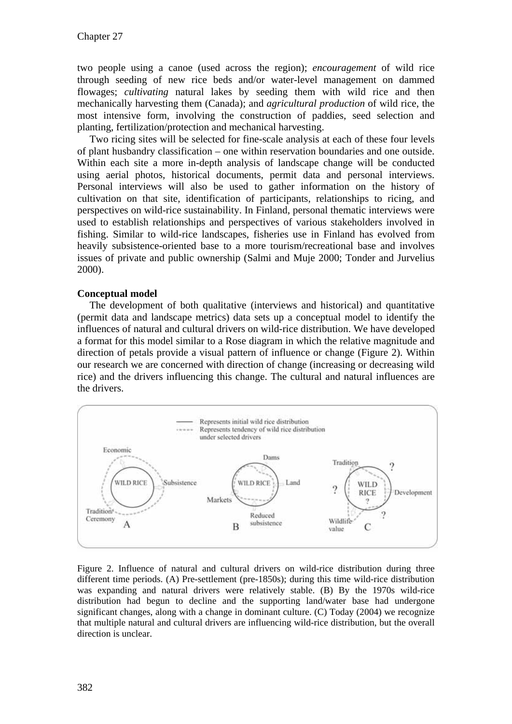two people using a canoe (used across the region); *encouragement* of wild rice through seeding of new rice beds and/or water-level management on dammed flowages; *cultivating* natural lakes by seeding them with wild rice and then mechanically harvesting them (Canada); and *agricultural production* of wild rice, the most intensive form, involving the construction of paddies, seed selection and planting, fertilization/protection and mechanical harvesting.

Two ricing sites will be selected for fine-scale analysis at each of these four levels of plant husbandry classification – one within reservation boundaries and one outside. Within each site a more in-depth analysis of landscape change will be conducted using aerial photos, historical documents, permit data and personal interviews. Personal interviews will also be used to gather information on the history of cultivation on that site, identification of participants, relationships to ricing, and perspectives on wild-rice sustainability. In Finland, personal thematic interviews were used to establish relationships and perspectives of various stakeholders involved in fishing. Similar to wild-rice landscapes, fisheries use in Finland has evolved from heavily subsistence-oriented base to a more tourism/recreational base and involves issues of private and public ownership (Salmi and Muje 2000; Tonder and Jurvelius 2000).

#### **Conceptual model**

The development of both qualitative (interviews and historical) and quantitative (permit data and landscape metrics) data sets up a conceptual model to identify the influences of natural and cultural drivers on wild-rice distribution. We have developed a format for this model similar to a Rose diagram in which the relative magnitude and direction of petals provide a visual pattern of influence or change (Figure 2). Within our research we are concerned with direction of change (increasing or decreasing wild rice) and the drivers influencing this change. The cultural and natural influences are the drivers.



Figure 2. Influence of natural and cultural drivers on wild-rice distribution during three different time periods. (A) Pre-settlement (pre-1850s); during this time wild-rice distribution was expanding and natural drivers were relatively stable. (B) By the 1970s wild-rice distribution had begun to decline and the supporting land/water base had undergone significant changes, along with a change in dominant culture. (C) Today (2004) we recognize that multiple natural and cultural drivers are influencing wild-rice distribution, but the overall direction is unclear.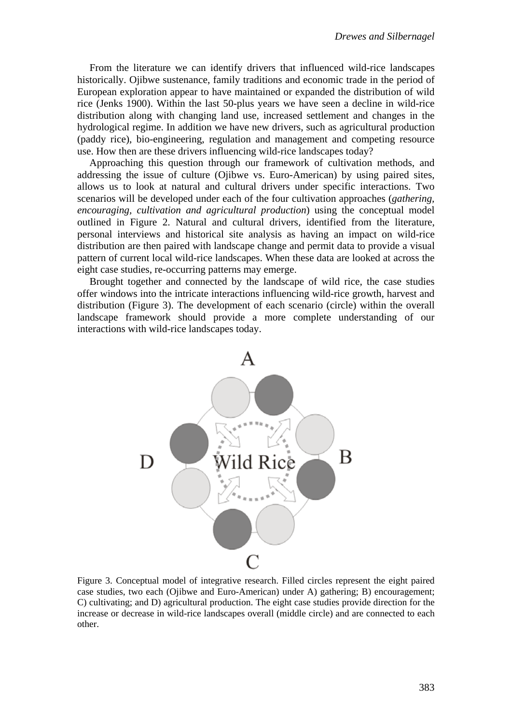From the literature we can identify drivers that influenced wild-rice landscapes historically. Ojibwe sustenance, family traditions and economic trade in the period of European exploration appear to have maintained or expanded the distribution of wild rice (Jenks 1900). Within the last 50-plus years we have seen a decline in wild-rice distribution along with changing land use, increased settlement and changes in the hydrological regime. In addition we have new drivers, such as agricultural production (paddy rice), bio-engineering, regulation and management and competing resource use. How then are these drivers influencing wild-rice landscapes today?

Approaching this question through our framework of cultivation methods, and addressing the issue of culture (Ojibwe vs. Euro-American) by using paired sites, allows us to look at natural and cultural drivers under specific interactions. Two scenarios will be developed under each of the four cultivation approaches (*gathering, encouraging, cultivation and agricultural production*) using the conceptual model outlined in Figure 2. Natural and cultural drivers, identified from the literature, personal interviews and historical site analysis as having an impact on wild-rice distribution are then paired with landscape change and permit data to provide a visual pattern of current local wild-rice landscapes. When these data are looked at across the eight case studies, re-occurring patterns may emerge.

Brought together and connected by the landscape of wild rice, the case studies offer windows into the intricate interactions influencing wild-rice growth, harvest and distribution (Figure 3). The development of each scenario (circle) within the overall landscape framework should provide a more complete understanding of our interactions with wild-rice landscapes today.



Figure 3. Conceptual model of integrative research. Filled circles represent the eight paired case studies, two each (Ojibwe and Euro-American) under A) gathering; B) encouragement; C) cultivating; and D) agricultural production. The eight case studies provide direction for the increase or decrease in wild-rice landscapes overall (middle circle) and are connected to each other.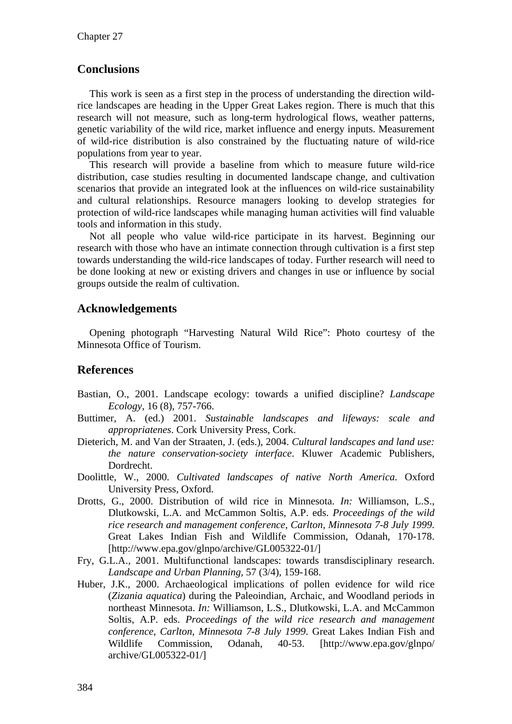## **Conclusions**

This work is seen as a first step in the process of understanding the direction wildrice landscapes are heading in the Upper Great Lakes region. There is much that this research will not measure, such as long-term hydrological flows, weather patterns, genetic variability of the wild rice, market influence and energy inputs. Measurement of wild-rice distribution is also constrained by the fluctuating nature of wild-rice populations from year to year.

This research will provide a baseline from which to measure future wild-rice distribution, case studies resulting in documented landscape change, and cultivation scenarios that provide an integrated look at the influences on wild-rice sustainability and cultural relationships. Resource managers looking to develop strategies for protection of wild-rice landscapes while managing human activities will find valuable tools and information in this study.

Not all people who value wild-rice participate in its harvest. Beginning our research with those who have an intimate connection through cultivation is a first step towards understanding the wild-rice landscapes of today. Further research will need to be done looking at new or existing drivers and changes in use or influence by social groups outside the realm of cultivation.

### **Acknowledgements**

Opening photograph "Harvesting Natural Wild Rice": Photo courtesy of the Minnesota Office of Tourism.

#### **References**

- Bastian, O., 2001. Landscape ecology: towards a unified discipline? *Landscape Ecology,* 16 (8), 757-766.
- Buttimer, A. (ed.) 2001. *Sustainable landscapes and lifeways: scale and appropriatenes*. Cork University Press, Cork.
- Dieterich, M. and Van der Straaten, J. (eds.), 2004. *Cultural landscapes and land use: the nature conservation-society interface*. Kluwer Academic Publishers, Dordrecht.
- Doolittle, W., 2000. *Cultivated landscapes of native North America*. Oxford University Press, Oxford.
- Drotts, G., 2000. Distribution of wild rice in Minnesota. *In:* Williamson, L.S., Dlutkowski, L.A. and McCammon Soltis, A.P. eds. *Proceedings of the wild rice research and management conference, Carlton, Minnesota 7-8 July 1999*. Great Lakes Indian Fish and Wildlife Commission, Odanah, 170-178. [http://www.epa.gov/glnpo/archive/GL005322-01/]
- Fry, G.L.A., 2001. Multifunctional landscapes: towards transdisciplinary research. *Landscape and Urban Planning,* 57 (3/4), 159-168.
- Huber, J.K., 2000. Archaeological implications of pollen evidence for wild rice (*Zizania aquatica*) during the Paleoindian, Archaic, and Woodland periods in northeast Minnesota. *In:* Williamson, L.S., Dlutkowski, L.A. and McCammon Soltis, A.P. eds. *Proceedings of the wild rice research and management conference, Carlton, Minnesota 7-8 July 1999*. Great Lakes Indian Fish and Wildlife Commission, Odanah, 40-53. [http://www.epa.gov/glnpo/ archive/GL005322-01/]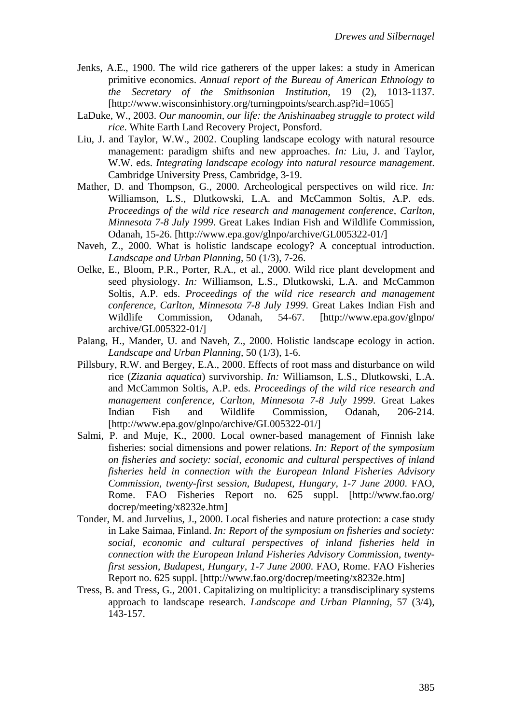- Jenks, A.E., 1900. The wild rice gatherers of the upper lakes: a study in American primitive economics. *Annual report of the Bureau of American Ethnology to the Secretary of the Smithsonian Institution,* 19 (2), 1013-1137. [http://www.wisconsinhistory.org/turningpoints/search.asp?id=1065]
- LaDuke, W., 2003. *Our manoomin, our life: the Anishinaabeg struggle to protect wild rice*. White Earth Land Recovery Project, Ponsford.
- Liu, J. and Taylor, W.W., 2002. Coupling landscape ecology with natural resource management: paradigm shifts and new approaches. *In:* Liu, J. and Taylor, W.W. eds. *Integrating landscape ecology into natural resource management*. Cambridge University Press, Cambridge, 3-19.
- Mather, D. and Thompson, G., 2000. Archeological perspectives on wild rice. *In:* Williamson, L.S., Dlutkowski, L.A. and McCammon Soltis, A.P. eds. *Proceedings of the wild rice research and management conference, Carlton, Minnesota 7-8 July 1999*. Great Lakes Indian Fish and Wildlife Commission, Odanah, 15-26. [http://www.epa.gov/glnpo/archive/GL005322-01/]
- Naveh, Z., 2000. What is holistic landscape ecology? A conceptual introduction. *Landscape and Urban Planning,* 50 (1/3), 7-26.
- Oelke, E., Bloom, P.R., Porter, R.A., et al., 2000. Wild rice plant development and seed physiology. *In:* Williamson, L.S., Dlutkowski, L.A. and McCammon Soltis, A.P. eds. *Proceedings of the wild rice research and management conference, Carlton, Minnesota 7-8 July 1999*. Great Lakes Indian Fish and Wildlife Commission, Odanah, 54-67. [http://www.epa.gov/glnpo/ archive/GL005322-01/]
- Palang, H., Mander, U. and Naveh, Z., 2000. Holistic landscape ecology in action. *Landscape and Urban Planning,* 50 (1/3), 1-6.
- Pillsbury, R.W. and Bergey, E.A., 2000. Effects of root mass and disturbance on wild rice (*Zizania aquatica*) survivorship. *In:* Williamson, L.S., Dlutkowski, L.A. and McCammon Soltis, A.P. eds. *Proceedings of the wild rice research and management conference, Carlton, Minnesota 7-8 July 1999*. Great Lakes Indian Fish and Wildlife Commission, Odanah, 206-214. [http://www.epa.gov/glnpo/archive/GL005322-01/]
- Salmi, P. and Muje, K., 2000. Local owner-based management of Finnish lake fisheries: social dimensions and power relations. *In: Report of the symposium on fisheries and society: social, economic and cultural perspectives of inland fisheries held in connection with the European Inland Fisheries Advisory Commission, twenty-first session, Budapest, Hungary, 1-7 June 2000*. FAO, Rome. FAO Fisheries Report no. 625 suppl. [http://www.fao.org/ docrep/meeting/x8232e.htm]
- Tonder, M. and Jurvelius, J., 2000. Local fisheries and nature protection: a case study in Lake Saimaa, Finland. *In: Report of the symposium on fisheries and society: social, economic and cultural perspectives of inland fisheries held in connection with the European Inland Fisheries Advisory Commission, twentyfirst session, Budapest, Hungary, 1-7 June 2000*. FAO, Rome. FAO Fisheries Report no. 625 suppl. [http://www.fao.org/docrep/meeting/x8232e.htm]
- Tress, B. and Tress, G., 2001. Capitalizing on multiplicity: a transdisciplinary systems approach to landscape research. *Landscape and Urban Planning,* 57 (3/4), 143-157.